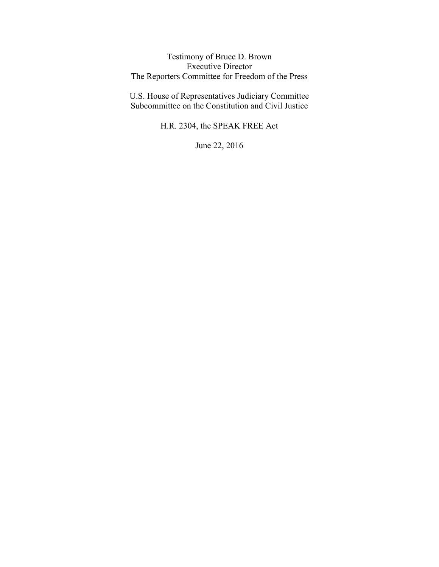Testimony of Bruce D. Brown Executive Director The Reporters Committee for Freedom of the Press

U.S. House of Representatives Judiciary Committee Subcommittee on the Constitution and Civil Justice

H.R. 2304, the SPEAK FREE Act

June 22, 2016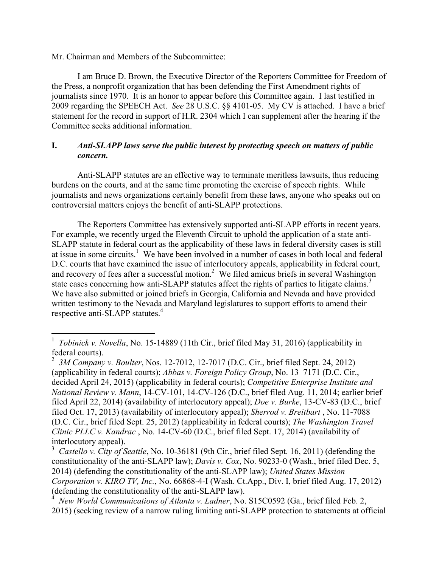Mr. Chairman and Members of the Subcommittee:

I am Bruce D. Brown, the Executive Director of the Reporters Committee for Freedom of the Press, a nonprofit organization that has been defending the First Amendment rights of journalists since 1970. It is an honor to appear before this Committee again. I last testified in 2009 regarding the SPEECH Act. *See* 28 U.S.C. §§ 4101-05. My CV is attached. I have a brief statement for the record in support of H.R. 2304 which I can supplement after the hearing if the Committee seeks additional information.

## **I.** *Anti-SLAPP laws serve the public interest by protecting speech on matters of public concern.*

Anti-SLAPP statutes are an effective way to terminate meritless lawsuits, thus reducing burdens on the courts, and at the same time promoting the exercise of speech rights. While journalists and news organizations certainly benefit from these laws, anyone who speaks out on controversial matters enjoys the benefit of anti-SLAPP protections.

The Reporters Committee has extensively supported anti-SLAPP efforts in recent years. For example, we recently urged the Eleventh Circuit to uphold the application of a state anti-SLAPP statute in federal court as the applicability of these laws in federal diversity cases is still at issue in some circuits.<sup>1</sup> We have been involved in a number of cases in both local and federal D.C. courts that have examined the issue of interlocutory appeals, applicability in federal court, and recovery of fees after a successful motion. $2$  We filed amicus briefs in several Washington state cases concerning how anti-SLAPP statutes affect the rights of parties to litigate claims.<sup>3</sup> We have also submitted or joined briefs in Georgia, California and Nevada and have provided written testimony to the Nevada and Maryland legislatures to support efforts to amend their respective anti-SLAPP statutes. 4

 <sup>1</sup> *Tobinick v. Novella*, No. 15-14889 (11th Cir., brief filed May 31, 2016) (applicability in federal courts).

<sup>2</sup> *3M Company v. Boulter*, Nos. 12-7012, 12-7017 (D.C. Cir., brief filed Sept. 24, 2012) (applicability in federal courts); *Abbas v. Foreign Policy Group*, No. 13–7171 (D.C. Cir., decided April 24, 2015) (applicability in federal courts); *Competitive Enterprise Institute and National Review v. Mann*, 14-CV-101, 14-CV-126 (D.C., brief filed Aug. 11, 2014; earlier brief filed April 22, 2014) (availability of interlocutory appeal); *Doe v. Burke*, 13-CV-83 (D.C., brief filed Oct. 17, 2013) (availability of interlocutory appeal); *Sherrod v. Breitbart* , No. 11-7088 (D.C. Cir., brief filed Sept. 25, 2012) (applicability in federal courts); *The Washington Travel Clinic PLLC v. Kandrac* , No. 14-CV-60 (D.C., brief filed Sept. 17, 2014) (availability of interlocutory appeal).

<sup>&</sup>lt;sup>3</sup> *Castello v. City of Seattle*, No. 10-36181 (9th Cir., brief filed Sept. 16, 2011) (defending the constitutionality of the anti-SLAPP law); *Davis v. Cox*, No. 90233-0 (Wash., brief filed Dec. 5, 2014) (defending the constitutionality of the anti-SLAPP law); *United States Mission Corporation v. KIRO TV, Inc.*, No. 66868-4-I (Wash. Ct.App., Div. I, brief filed Aug. 17, 2012) (defending the constitutionality of the anti-SLAPP law).

<sup>4</sup> *New World Communications of Atlanta v. Ladner*, No. S15C0592 (Ga., brief filed Feb. 2, 2015) (seeking review of a narrow ruling limiting anti-SLAPP protection to statements at official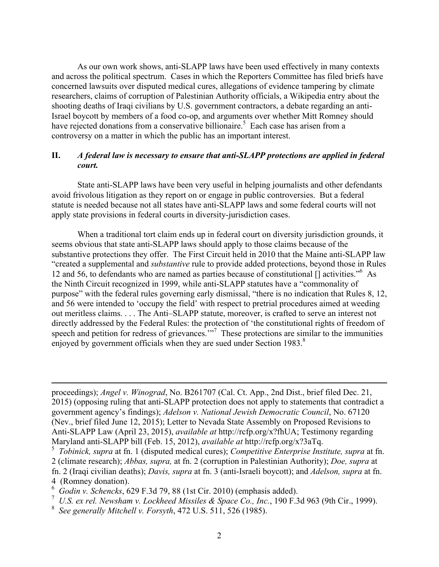As our own work shows, anti-SLAPP laws have been used effectively in many contexts and across the political spectrum. Cases in which the Reporters Committee has filed briefs have concerned lawsuits over disputed medical cures, allegations of evidence tampering by climate researchers, claims of corruption of Palestinian Authority officials, a Wikipedia entry about the shooting deaths of Iraqi civilians by U.S. government contractors, a debate regarding an anti-Israel boycott by members of a food co-op, and arguments over whether Mitt Romney should have rejected donations from a conservative billionaire.<sup>5</sup> Each case has arisen from a controversy on a matter in which the public has an important interest.

## **II.** *A federal law is necessary to ensure that anti-SLAPP protections are applied in federal court.*

State anti-SLAPP laws have been very useful in helping journalists and other defendants avoid frivolous litigation as they report on or engage in public controversies. But a federal statute is needed because not all states have anti-SLAPP laws and some federal courts will not apply state provisions in federal courts in diversity-jurisdiction cases.

When a traditional tort claim ends up in federal court on diversity jurisdiction grounds, it seems obvious that state anti-SLAPP laws should apply to those claims because of the substantive protections they offer. The First Circuit held in 2010 that the Maine anti-SLAPP law "created a supplemental and *substantive* rule to provide added protections, beyond those in Rules 12 and 56, to defendants who are named as parties because of constitutional [] activities."<sup>6</sup> As the Ninth Circuit recognized in 1999, while anti-SLAPP statutes have a "commonality of purpose" with the federal rules governing early dismissal, "there is no indication that Rules 8, 12, and 56 were intended to 'occupy the field' with respect to pretrial procedures aimed at weeding out meritless claims. . . . The Anti–SLAPP statute, moreover, is crafted to serve an interest not directly addressed by the Federal Rules: the protection of 'the constitutional rights of freedom of speech and petition for redress of grievances."<sup>7</sup> These protections are similar to the immunities enjoyed by government officials when they are sued under Section 1983.<sup>8</sup>

proceedings); *Angel v. Winograd*, No. B261707 (Cal. Ct. App., 2nd Dist., brief filed Dec. 21, 2015) (opposing ruling that anti-SLAPP protection does not apply to statements that contradict a government agency's findings); *Adelson v. National Jewish Democratic Council*, No. 67120 (Nev., brief filed June 12, 2015); Letter to Nevada State Assembly on Proposed Revisions to Anti-SLAPP Law (April 23, 2015), *available at* http://rcfp.org/x?fhUA; Testimony regarding Maryland anti-SLAPP bill (Feb. 15, 2012), *available at* http://rcfp.org/x?3aTq. <sup>5</sup> *Tobinick, supra* at fn. <sup>1</sup> (disputed medical cures); *Competitive Enterprise Institute, supra* at fn.

<u> 1989 - Jan Sarajević, politički predsjednik i politički predsjednik i politički politički politički političk</u>

<sup>2</sup> (climate research); *Abbas, supra,* at fn. 2 (corruption in Palestinian Authority); *Doe, supra* at fn. 2 (Iraqi civilian deaths); *Davis, supra* at fn. 3 (anti-Israeli boycott); and *Adelson, supra* at fn. 4 (Romney donation).

<sup>6</sup> *Godin v. Schencks*, 629 F.3d 79, 88 (1st Cir. 2010) (emphasis added).

<sup>7</sup> *U.S. ex rel. Newsham v. Lockheed Missiles & Space Co., Inc.*, 190 F.3d 963 (9th Cir., 1999).

<sup>8</sup> *See generally Mitchell v. Forsyth*, 472 U.S. 511, 526 (1985).